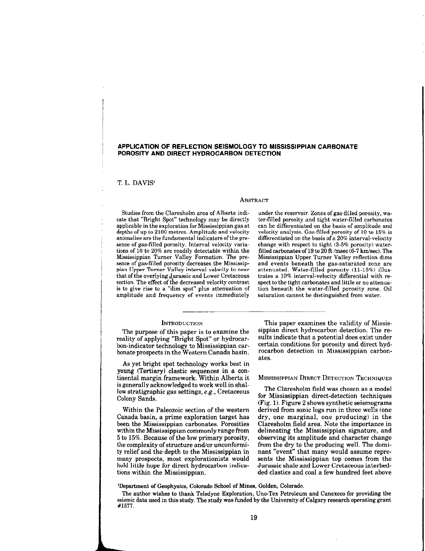### APPLICATION OF REFLECTION SEISMOLOGY TO MISSISSIPPIAN CARBONATE POROSITY AND DIRECT HYDROCARBON DETECTION

T. L. DAVIS'

#### **ABSTRACT**

Studies from the Claresholm area of Alberta indicate that "Bright Spot" technology may be directly applicable in the exploration for Mississippian gas at depths of up to 2100 metres. Amplitude and velocity anomalies are the fundamental indicators of the preaence of gas-filled porosity. Interval velocity variations of 10 to 20% are readily detectable within the Mississippian Turner Valley Formation. The presence of gas-filled porosity decreases the Mississippian Upper Turner Valley interval velocity to near that of the overlying Jurassic and Lower Cretaceous section. The effect of the decreased velocity contrast is to give rise to a "dim spot" plus attenuation of amplitude and frequency of events immediately

under the reservoir. Zones of gas-filled porosity, water-filled porosity and tight water-tilled carbonates can be differentiated on the basis of amplitude and velocity analysis. Gas-filled porosity of  $10$  to  $15\%$  is differentiated on the basis of a 20% interval-velocity change with respect to tight (3.5% porosity) waterfilled carbonates of 19 to 20 ft /msec  $(6-7 \text{ km/sec})$ . The Mississippian Upper Turner Valley reflection dims and events beneath the gas-saturated zone are attenuated. Water-filled porosity  $(11-15%)$  illustrates a 10% interval-velocity differential with respect to the tight carbonates and little or no attenuation beneath the water-filled porosity zone. Oil saturation cannot be distinguished from water.

As yet bright spot technology works best in young (Tertiary) elastic sequences in a continental margin framework. Within Alberta it MISSISSIPPIAN DIRECT DETECTION TECHNIQUES is generally acknowledged to work well in shallow stratigraphic gas settings,  $e.g.,$  Cretaceous

INTRODUCTION This paper examines the validity of Missis-The purpose of this paper is to examine the sippian direct hydrocarbon detection. The rereality of applying "Bright Spot" or hydrocar- sults indicate that a potential does exist under certain conditions for porosity and direct hydbon-indicator technology to Mississippian car-<br>bonate prospects in the Western Canada basin. rocarbon detection in Mississippian carbonates.

The Claresholm field was chosen as a model Colony Sands. for Mississippian direct-detection techniques (Fig. 1). Figure 2 shows synthetic seismograms Within the Paleozoic section of the western derived from sonic logs run in three wells (one Canada basin, a prime exploration target has dry, one marginal, one producing) in the been the Mississippian carbonates. Porosities Claresholm field area. Note the importance in within the Mississippian commonly range from delineating the Mississippian signature, and 5 to 15%. Because of the low primary porosity, observing its amplitude and character change the complexity of structure and/or unconformi- from the dry to the producing well. The domity relief and the depth to the Mississippian in nant "event" that many would assume repremany prospects, most explorationists would sents the Mississippian top comes from the hold little hope for direct hydrocarbon indica- Jurassic shale and Lower Cretaceous interbedtions within the Mississippian. ded elastics and coal a few hundred feet above

## 'Department of Geophysics, Colorado School of Mines, Golden, Colorado.

The author wishes to thank Teledyne Exploration, Uno-Tex Petroleum and Canexeco for providing the seimnic data used in this study. The study was funded by the University of Calgary research operating grant #1511.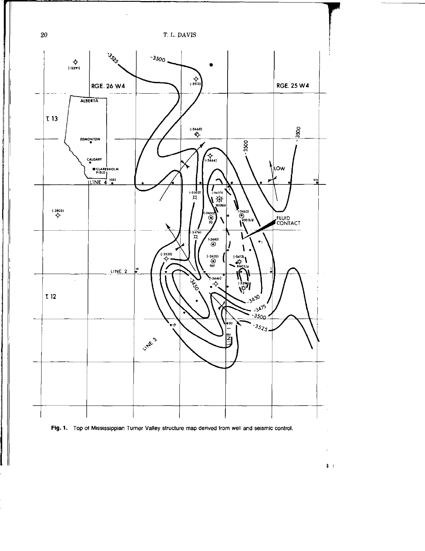



 $\frac{\Delta}{2\pi}$  .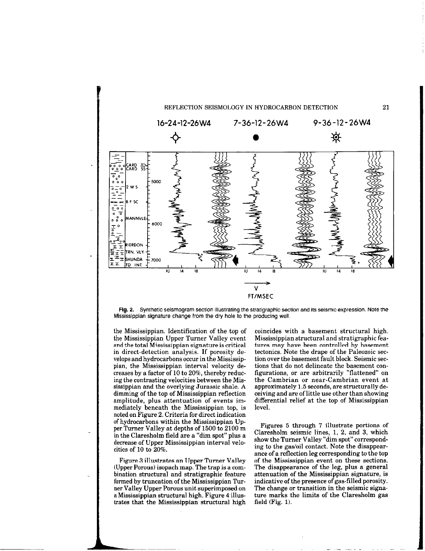

Fig. 2. Synthetic selsmogram section illustrating the stratigraphic section and its seismic expression. Note the Mississippian signature change from the dry hole to the producing well.

the Mississippian. Identification of the top of the Mississippian Upper Turner Valley event and the total Mississippian signature is critical in direct-detection analysis. If porosity develops and hydrocarbons occur in the Mississippian, the Mississippian interval velocity decreases by a factor of 10 to 20%, thereby reducing the contrasting velocities between the Mississippian and the overlying Jurassic shale. A dimming of the top of Mississippian reflection amplitude, plus attentuation of events immediately beneath the Mississippian top, is notedon Figure 2. Criteria for direct indication of hydrocarbons within the Mississippian Upper Turner Valley at depths of 1500 to 2100 m in the Claresholm field are a "dim spot" plus a decrease of Upper Mississippian interval velocities of 10 to 20%.

Figure 3 illustrates an Upper Turner Valley (Upper Porous) isopach map. The trap is a combination structural and stratigraphic feature formed by truncation of the Mississippian Turner Valley Upper Porous unit superimposed on a Mississippian structural high. Figure 4 illustrates that the Mississippian structural high

coincides with a basement structural high. Mississippian structural and stratigraphic features may have been controlled by basement tectonics. Note the drape of the Paleozoic section over the basement fault block. Seismic sections that do not delineate the basement configurations, or are arbitrarily "flattened" on the Cambrian or near-Cambrian event at approximately 1.5 seconds, are structurally deceiving and are of little use other than showing differential relief at the top of Mississippian level.

Figures 5 through 7 illustrate portions of Claresholm seismic lines, 1, 2, and 3, which show the Turner Valley "dim spot" corresponding to the gas/oil contact. Note the disappearance of a reflection leg corresponding to the top of the Mississippian event on these sections. The disappearance of the leg, plus a general attenuation of the Mississippian signature, is indicative of the presence of gas-filled porosity. The change or transition in the seismic signature marks the limits of the Claresholm gas field (Fig. 1).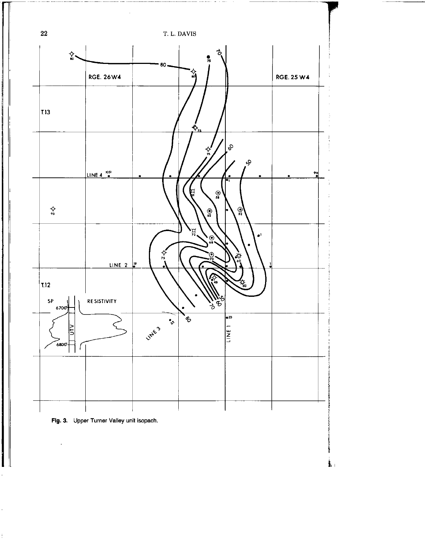

 $\ddot{\phantom{a}}$ 

 $\ddot{\ddot{\mathrm{r}}}$ 



 $\mathbf{L}_1$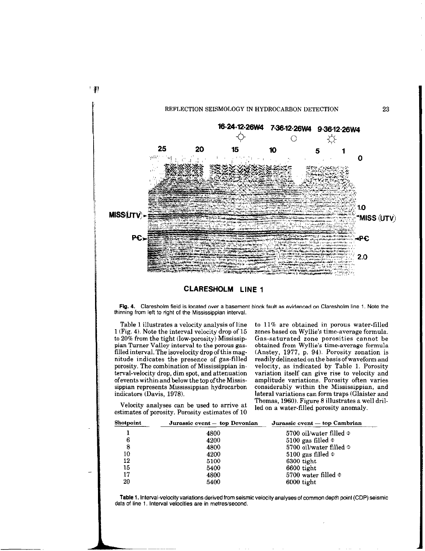

# CLARESHOLM LINE 1

Fig. 4. Claresholm field is located over a basement block fault as evidenced on Claresholm line 1. Note the thinning from left to right of the Mississippian interval.

Table 1 illustrates a velocity analysis of line 1 (Fig. 4). Note the interval velocity drop of 15 to 20% from the tight (low-porosity) Mississippian Turner Valley interval to the porous gasfilled interval. The isovelocity drop of this magnitude indicates the presence of gas-filled porosity. The combination of Mississippian interval-velocity drop, dim spot, and attenuation ofevents within and below the top of the Mississippian represents Mississippian hydrocarbon indicators (Davis, 1978).

Velocity analyses can be used to arrive at estimates of porosity. Porosity estimates of 10

to 11% are obtained in porous water-filled zones based on Wyllie's time-average formula. Gas-saturated zone porosities cannot be obtained from Wyllie's time-average formula (Anstey, 1977, p. 94). Porosity zonation is readily delineated on the basis of waveform and velocity, as indicated by Table 1. Porosity variation itself can give rise to velocity and amplitude variations. Porosity often varies considerably within the Mississippian, and lateral variations can form traps (Glaister and Thomas, 1960). Figure 8 illustrates a well drilled on a water-tilled porosity anomaly.

| Shotpoint | Jurassic event — top Devonian | Jurassic event — top Cambrian |
|-----------|-------------------------------|-------------------------------|
|           | 4800                          | 5700 oil/water filled $\Phi$  |
| 6         | 4200                          | 5100 gas filled $\Phi$        |
| 8         | 4800                          | 5700 oil/water filled $\Phi$  |
| 10        | 4200                          | 5100 gas filled $\Phi$        |
| 12        | 5100                          | $6300$ tight                  |
| 15        | 5400                          | 6600 tight                    |
| 17        | 4800                          | 5700 water filled $\Phi$      |
| 20        | 5400                          | $6000$ tight                  |

Table 1. Interval-velocity variations derived from seismic velocity analyses of common depth point (CDP) seismic data of line I. Interval velocities are in metres/second.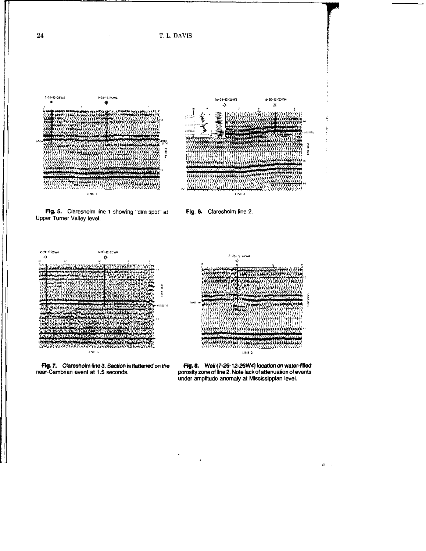24 T. L. DAVIS





Fig. 5. Claresholm line 1 showing "dim spot" at Upper Turner Valley level.

Flg. 6. Claresholm line 2.



Fig. 7. Claresholm line 3. Section is flattened on the near-Cambrian event at 1.5 seconds.





 $\pmb{\cdot}$ 

 $\mathbb{S}^{\mathbb{N}}$  .